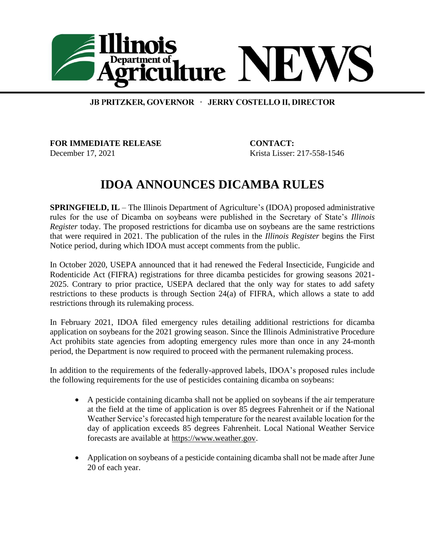

## JB PRITZKER, GOVERNOR · JERRY COSTELLO II, DIRECTOR

**FOR IMMEDIATE RELEASE CONTACT:**  December 17, 2021 Krista Lisser: 217-558-1546

## **IDOA ANNOUNCES DICAMBA RULES**

**SPRINGFIELD, IL** – The Illinois Department of Agriculture's (IDOA) proposed administrative rules for the use of Dicamba on soybeans were published in the Secretary of State's *Illinois Register* today. The proposed restrictions for dicamba use on soybeans are the same restrictions that were required in 2021. The publication of the rules in the *Illinois Register* begins the First Notice period, during which IDOA must accept comments from the public.

In October 2020, USEPA announced that it had renewed the Federal Insecticide, Fungicide and Rodenticide Act (FIFRA) registrations for three dicamba pesticides for growing seasons 2021- 2025. Contrary to prior practice, USEPA declared that the only way for states to add safety restrictions to these products is through Section 24(a) of FIFRA, which allows a state to add restrictions through its rulemaking process.

In February 2021, IDOA filed emergency rules detailing additional restrictions for dicamba application on soybeans for the 2021 growing season. Since the Illinois Administrative Procedure Act prohibits state agencies from adopting emergency rules more than once in any 24-month period, the Department is now required to proceed with the permanent rulemaking process.

In addition to the requirements of the federally-approved labels, IDOA's proposed rules include the following requirements for the use of pesticides containing dicamba on soybeans:

- A pesticide containing dicamba shall not be applied on soybeans if the air temperature at the field at the time of application is over 85 degrees Fahrenheit or if the National Weather Service's forecasted high temperature for the nearest available location for the day of application exceeds 85 degrees Fahrenheit. Local National Weather Service forecasts are available at [https://www.weather.gov.](https://www.weather.gov/)
- Application on soybeans of a pesticide containing dicamba shall not be made after June 20 of each year.